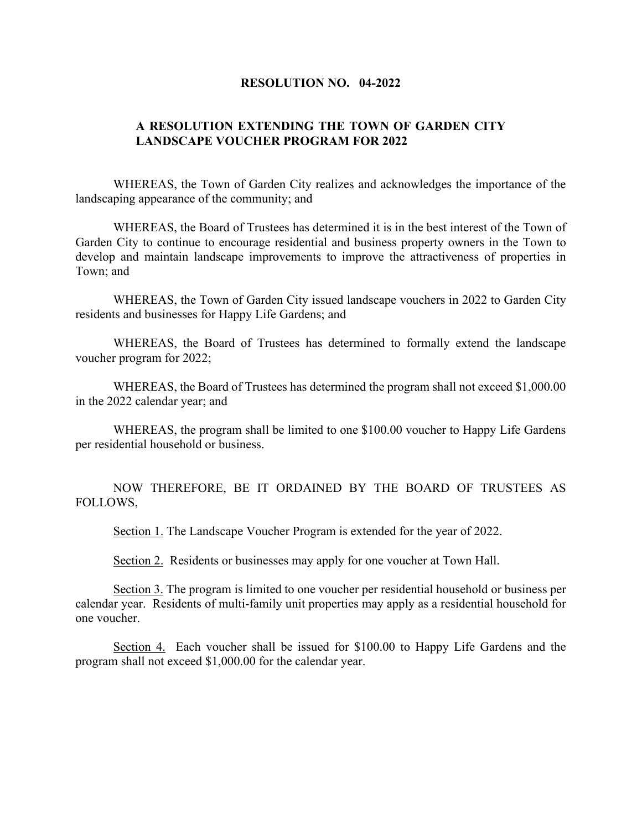## **RESOLUTION NO. 04-2022**

## **A RESOLUTION EXTENDING THE TOWN OF GARDEN CITY LANDSCAPE VOUCHER PROGRAM FOR 2022**

WHEREAS, the Town of Garden City realizes and acknowledges the importance of the landscaping appearance of the community; and

WHEREAS, the Board of Trustees has determined it is in the best interest of the Town of Garden City to continue to encourage residential and business property owners in the Town to develop and maintain landscape improvements to improve the attractiveness of properties in Town; and

WHEREAS, the Town of Garden City issued landscape vouchers in 2022 to Garden City residents and businesses for Happy Life Gardens; and

WHEREAS, the Board of Trustees has determined to formally extend the landscape voucher program for 2022;

WHEREAS, the Board of Trustees has determined the program shall not exceed \$1,000.00 in the 2022 calendar year; and

WHEREAS, the program shall be limited to one \$100.00 voucher to Happy Life Gardens per residential household or business.

NOW THEREFORE, BE IT ORDAINED BY THE BOARD OF TRUSTEES AS FOLLOWS,

Section 1. The Landscape Voucher Program is extended for the year of 2022.

Section 2. Residents or businesses may apply for one voucher at Town Hall.

Section 3. The program is limited to one voucher per residential household or business per calendar year. Residents of multi-family unit properties may apply as a residential household for one voucher.

Section 4. Each voucher shall be issued for \$100.00 to Happy Life Gardens and the program shall not exceed \$1,000.00 for the calendar year.